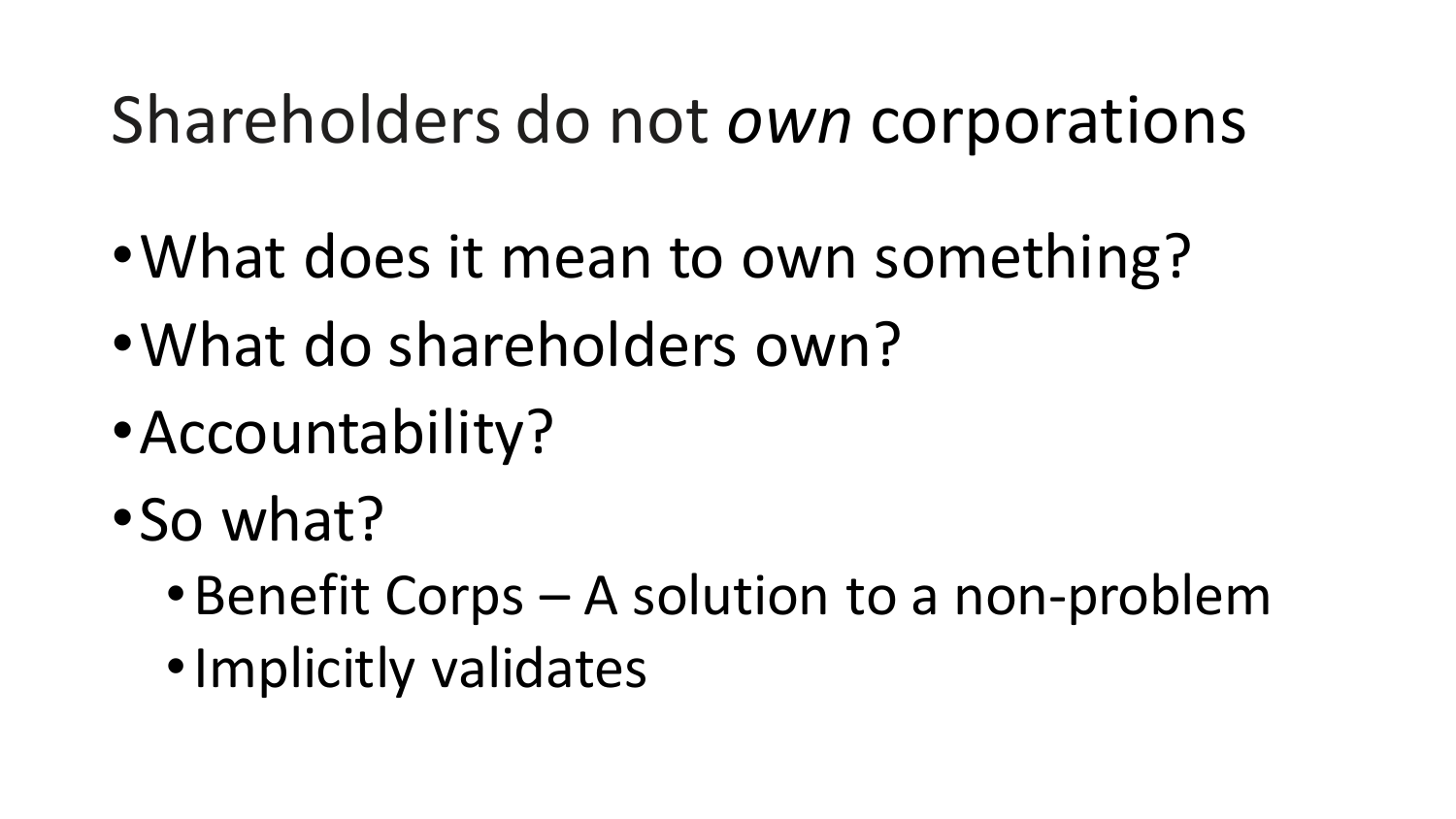#### Shareholders do not *own* corporations

- •What does it mean to own something?
- •What do shareholders own?
- •Accountability?
- •So what?
	- •Benefit Corps A solution to a non-problem
	- •Implicitly validates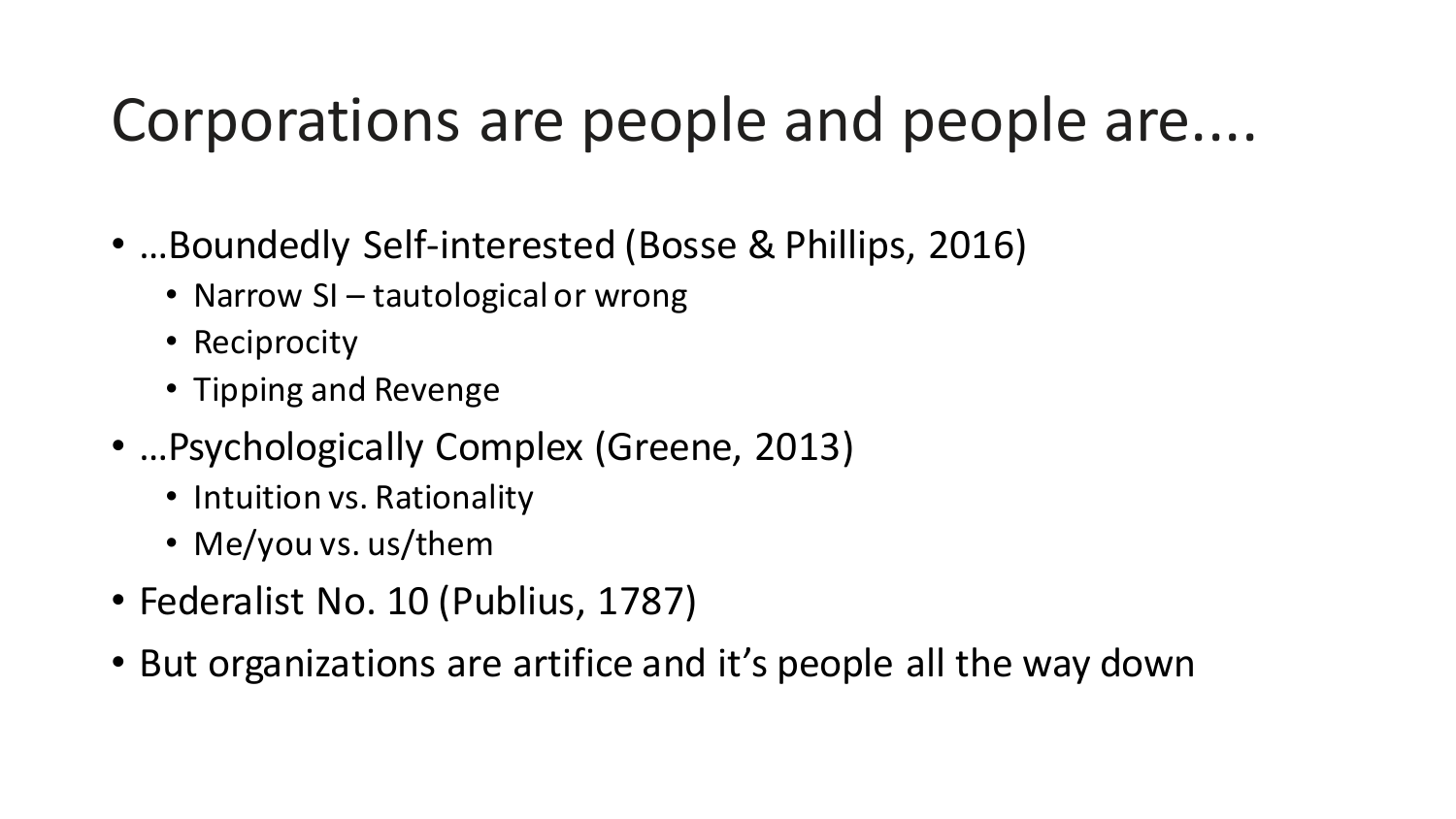#### Corporations are people and people are....

- …Boundedly Self-interested (Bosse & Phillips, 2016)
	- Narrow SI tautological or wrong
	- Reciprocity
	- Tipping and Revenge
- …Psychologically Complex (Greene, 2013)
	- Intuition vs. Rationality
	- Me/you vs. us/them
- Federalist No. 10 (Publius, 1787)
- But organizations are artifice and it's people all the way down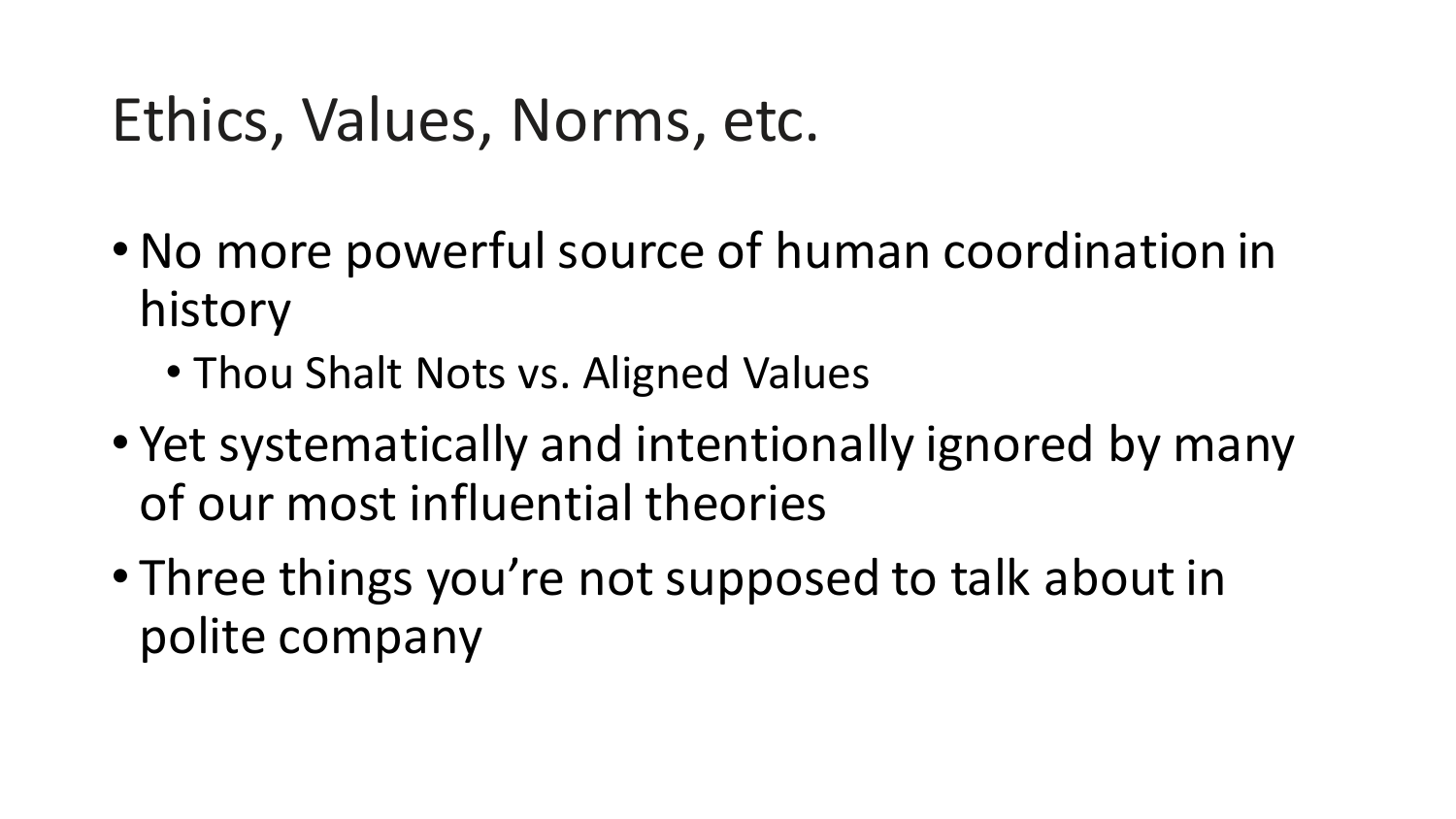#### Ethics, Values, Norms, etc.

- •No more powerful source of human coordination in history
	- Thou Shalt Nots vs. Aligned Values
- Yet systematically and intentionally ignored by many of our most influential theories
- Three things you're not supposed to talk about in polite company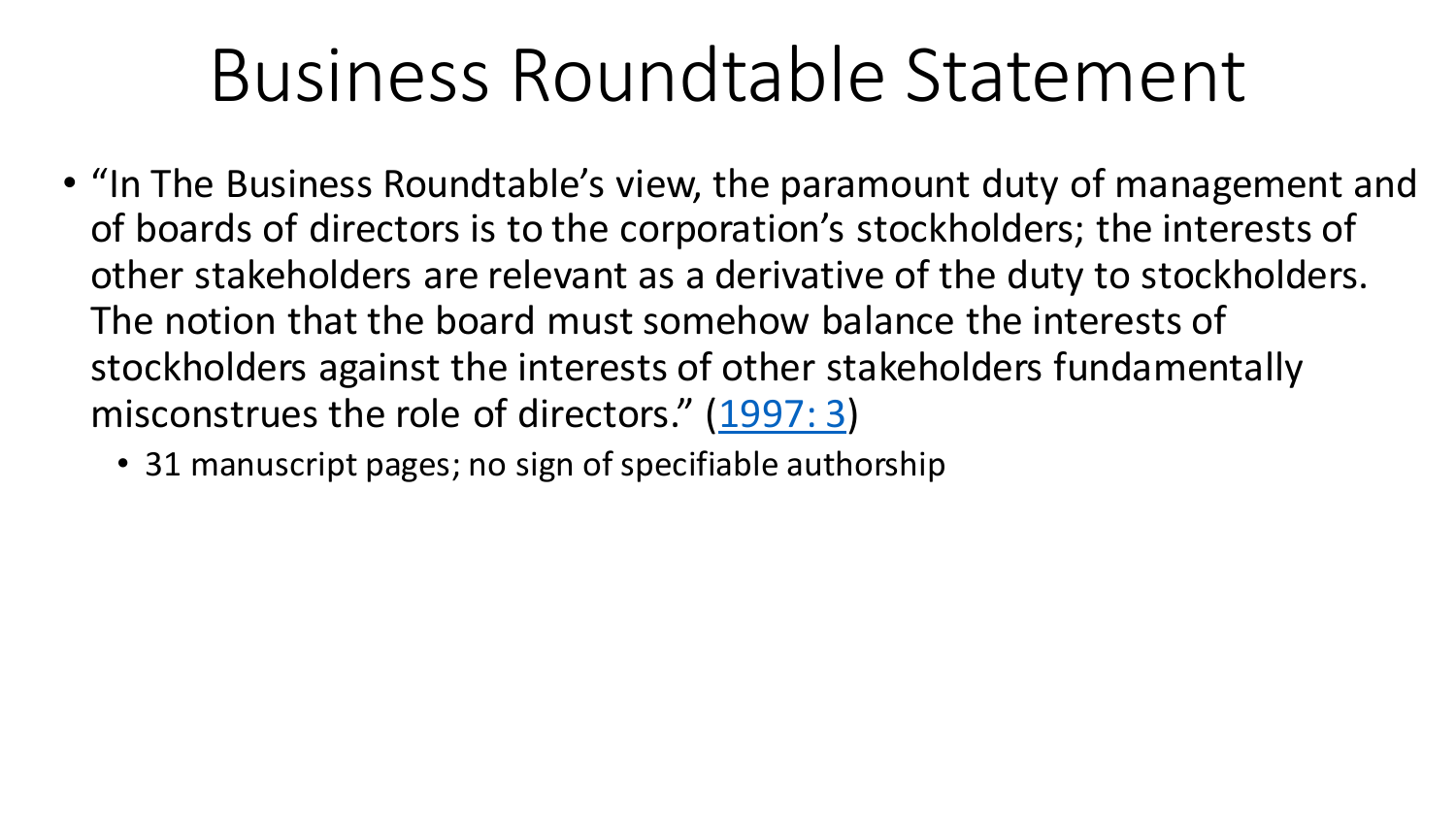- "In The Business Roundtable's view, the paramount duty of management and of boards of directors is to the corporation's stockholders; the interests of other stakeholders are relevant as a derivative of the duty to stockholders. The notion that the board must somehow balance the interests of stockholders against the interests of other stakeholders fundamentally misconstrues the role of directors." ([1997: 3\)](http://www.ralphgomory.com/wp-content/uploads/2018/05/Business-Roundtable-1997.pdf)
	- 31 manuscript pages; no sign of specifiable authorship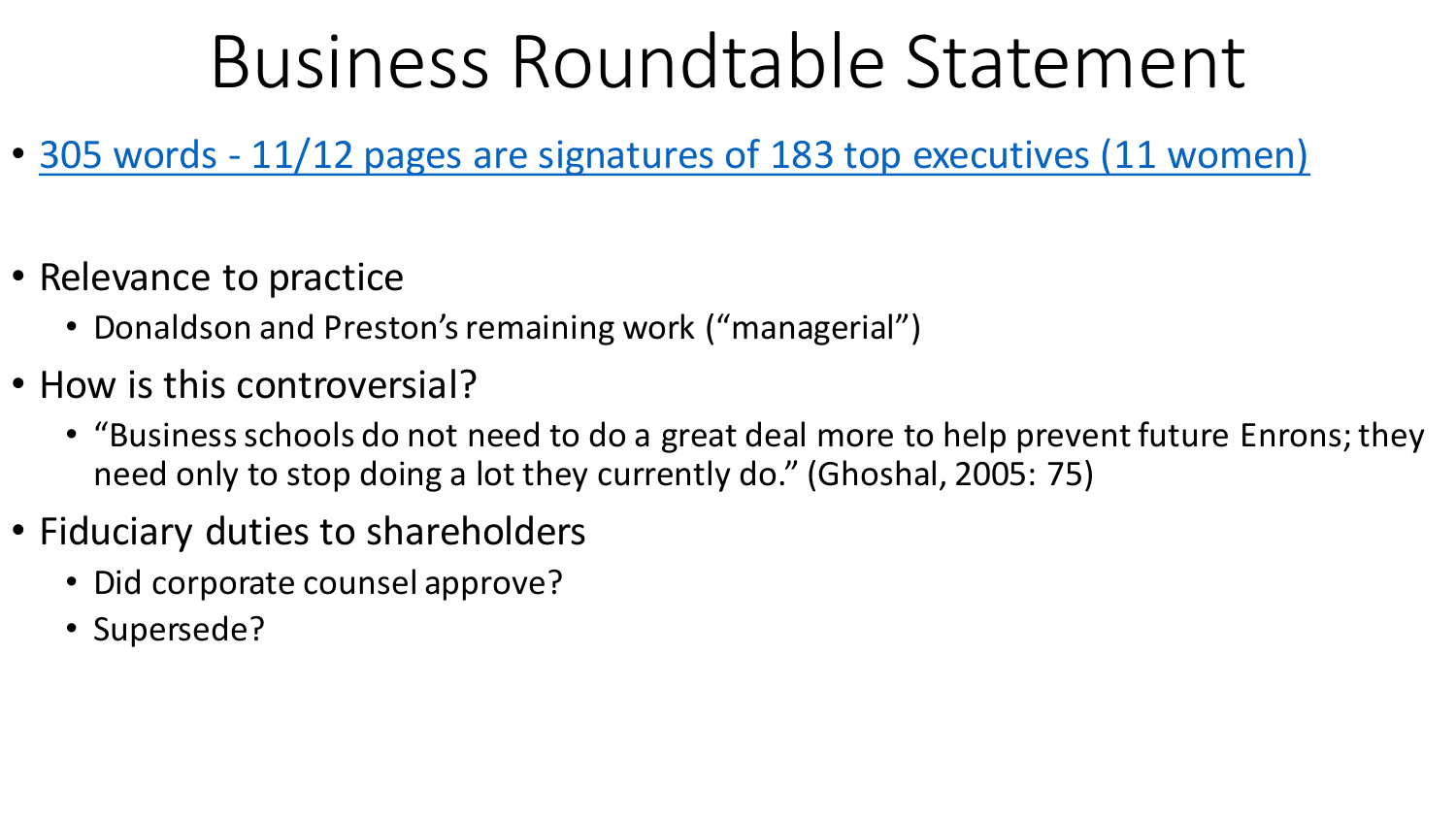- 305 words [11/12 pages are signatures of 183 top executives \(11 women\)](https://opportunity.businessroundtable.org/wp-content/uploads/2019/12/BRT-Statement-on-the-Purpose-of-a-Corporation-with-Signatures.pdf)
- Relevance to practice
	- Donaldson and Preston's remaining work ("managerial")
- How is this controversial?
	- "Business schools do not need to do a great deal more to help prevent future Enrons; they need only to stop doing a lot they currently do." (Ghoshal, 2005: 75)
- Fiduciary duties to shareholders
	- Did corporate counsel approve?
	- Supersede?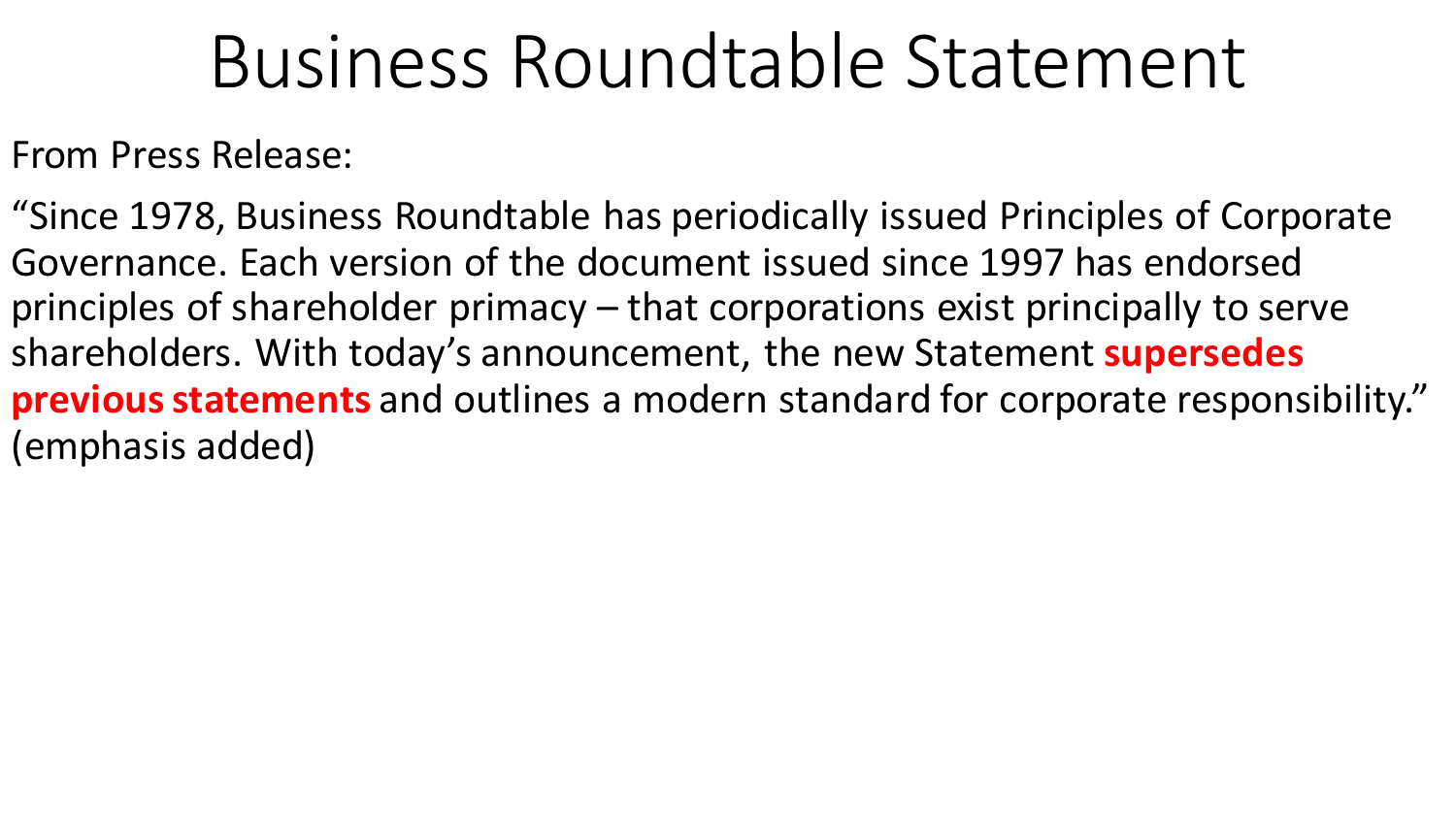From Press Release:

"Since 1978, Business Roundtable has periodically issued Principles of Corporate Governance. Each version of the document issued since 1997 has endorsed principles of shareholder primacy – that corporations exist principally to serve shareholders. With today's announcement, the new Statement **supersedes previous statements** and outlines a modern standard for corporate responsibility." (emphasis added)